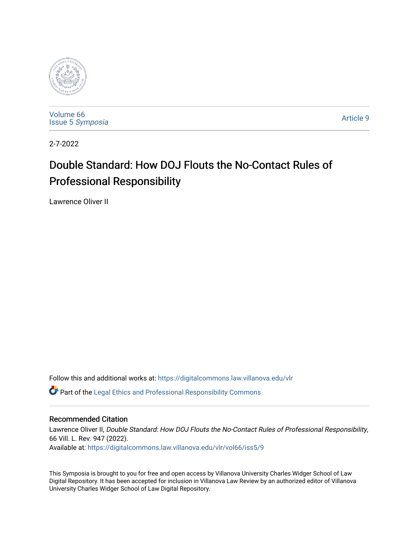

[Volume 66](https://digitalcommons.law.villanova.edu/vlr/vol66) Issue 5 [Symposia](https://digitalcommons.law.villanova.edu/vlr/vol66/iss5) 

[Article 9](https://digitalcommons.law.villanova.edu/vlr/vol66/iss5/9) 

2-7-2022

# Double Standard: How DOJ Flouts the No-Contact Rules of Professional Responsibility

Lawrence Oliver II

Follow this and additional works at: [https://digitalcommons.law.villanova.edu/vlr](https://digitalcommons.law.villanova.edu/vlr?utm_source=digitalcommons.law.villanova.edu%2Fvlr%2Fvol66%2Fiss5%2F9&utm_medium=PDF&utm_campaign=PDFCoverPages)

Part of the [Legal Ethics and Professional Responsibility Commons](http://network.bepress.com/hgg/discipline/895?utm_source=digitalcommons.law.villanova.edu%2Fvlr%2Fvol66%2Fiss5%2F9&utm_medium=PDF&utm_campaign=PDFCoverPages)

# Recommended Citation

Lawrence Oliver II, Double Standard: How DOJ Flouts the No-Contact Rules of Professional Responsibility, 66 Vill. L. Rev. 947 (2022). Available at: [https://digitalcommons.law.villanova.edu/vlr/vol66/iss5/9](https://digitalcommons.law.villanova.edu/vlr/vol66/iss5/9?utm_source=digitalcommons.law.villanova.edu%2Fvlr%2Fvol66%2Fiss5%2F9&utm_medium=PDF&utm_campaign=PDFCoverPages) 

This Symposia is brought to you for free and open access by Villanova University Charles Widger School of Law Digital Repository. It has been accepted for inclusion in Villanova Law Review by an authorized editor of Villanova University Charles Widger School of Law Digital Repository.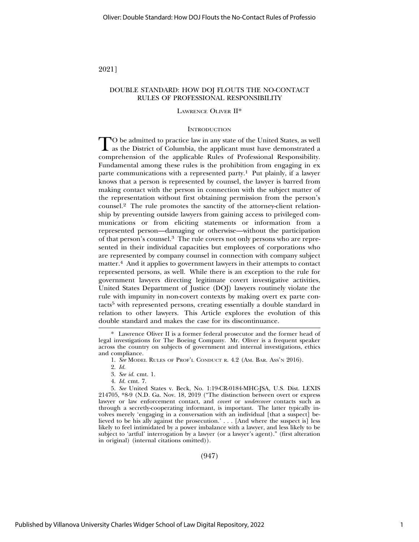2021]

## DOUBLE STANDARD: HOW DOJ FLOUTS THE NO-CONTACT RULES OF PROFESSIONAL RESPONSIBILITY

### LAWRENCE OLIVER II\*

#### **INTRODUCTION**

TO be admitted to practice law in any state of the United States, as well<br>as the District of Columbia, the applicant must have demonstrated a comprehension of the applicable Rules of Professional Responsibility. Fundamental among these rules is the prohibition from engaging in ex parte communications with a represented party.<sup>1</sup> Put plainly, if a lawyer knows that a person is represented by counsel, the lawyer is barred from making contact with the person in connection with the subject matter of the representation without first obtaining permission from the person's counsel.2 The rule promotes the sanctity of the attorney-client relationship by preventing outside lawyers from gaining access to privileged communications or from eliciting statements or information from a represented person—damaging or otherwise—without the participation of that person's counsel.3 The rule covers not only persons who are represented in their individual capacities but employees of corporations who are represented by company counsel in connection with company subject matter.4 And it applies to government lawyers in their attempts to contact represented persons, as well. While there is an exception to the rule for government lawyers directing legitimate covert investigative activities, United States Department of Justice (DOJ) lawyers routinely violate the rule with impunity in non-covert contexts by making overt ex parte contacts5 with represented persons, creating essentially a double standard in relation to other lawyers. This Article explores the evolution of this double standard and makes the case for its discontinuance.

(947)

<sup>\*</sup> Lawrence Oliver II is a former federal prosecutor and the former head of legal investigations for The Boeing Company. Mr. Oliver is a frequent speaker across the country on subjects of government and internal investigations, ethics and compliance.

<sup>1.</sup> *See* MODEL RULES OF PROF'L CONDUCT R. 4.2 (AM. BAR. ASS'N 2016).

<sup>2.</sup> *Id.*

<sup>3.</sup> *See id.* cmt. 1.

<sup>4.</sup> *Id.* cmt. 7.

<sup>5.</sup> *See* United States v. Beck, No. 1:19-CR-0184-MHC-JSA, U.S. Dist. LEXIS 214705, \*8-9 (N.D. Ga. Nov. 18, 2019 ("The distinction between overt or express lawyer or law enforcement contact, and *covert* or *undercover* contacts such as through a secretly-cooperating informant, is important. The latter typically involves merely 'engaging in a conversation with an individual [that a suspect] believed to be his ally against the prosecution.' . . . [And where the suspect is] less likely to feel intimidated by a power imbalance with a lawyer, and less likely to be subject to 'artful' interrogation by a lawyer (or a lawyer's agent)." (first alteration in original) (internal citations omitted)).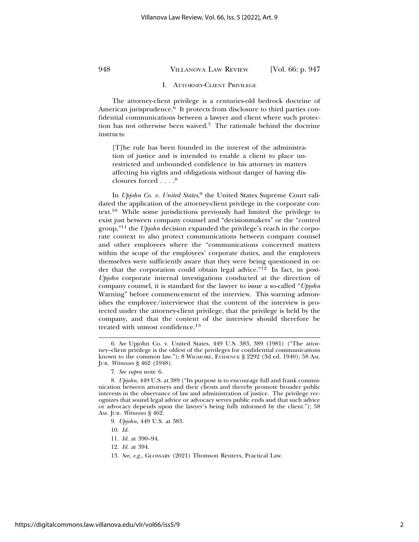#### I. ATTORNEY-CLIENT PRIVILEGE

The attorney-client privilege is a centuries-old bedrock doctrine of American jurisprudence.<sup>6</sup> It protects from disclosure to third parties confidential communications between a lawyer and client where such protection has not otherwise been waived.7 The rationale behind the doctrine instructs:

[T]he rule has been founded in the interest of the administration of justice and is intended to enable a client to place unrestricted and unbounded confidence in his attorney in matters affecting his rights and obligations without danger of having disclosures forced . . . .8

In *Upjohn Co. v. United States*, 9 the United States Supreme Court validated the application of the attorney-client privilege in the corporate context.10 While some jurisdictions previously had limited the privilege to exist just between company counsel and "decisionmakers" or the "control group,"11 the *Upjohn* decision expanded the privilege's reach in the corporate context to also protect communications between company counsel and other employees where the "communications concerned matters within the scope of the employees' corporate duties, and the employees themselves were sufficiently aware that they were being questioned in order that the corporation could obtain legal advice."12 In fact, in post-*Upjohn* corporate internal investigations conducted at the direction of company counsel, it is standard for the lawyer to issue a so-called "*Upjohn* Warning" before commencement of the interview. This warning admonishes the employee/interviewee that the content of the interview is protected under the attorney-client privilege, that the privilege is held by the company, and that the content of the interview should therefore be treated with utmost confidence.13

- 11. *Id.* at 390–94.
- 12. *Id.* at 394.
- 13. *See, e.g.*, GLOSSARY (2021) Thomson Reuters, Practical Law.

<sup>6.</sup> *See* Upjohn Co. v. United States, 449 U.S. 383, 389 (1981) ("The attorney–client privilege is the oldest of the privileges for confidential communications known to the common law."); 8 WIGMORE, EVIDENCE § 2292 (3d ed. 1940); 58 AM. JUR. *Witnesses* § 462 (1948).

<sup>7.</sup> *See supra* note 6.

<sup>8.</sup> *Upjohn*, 449 U.S. at 389 ("Its purpose is to encourage full and frank communication between attorneys and their clients and thereby promote broader public interests in the observance of law and administration of justice. The privilege recognizes that sound legal advice or advocacy serves public ends and that such advice or advocacy depends upon the lawyer's being fully informed by the client."); 58 AM. JUR. *Witnesses* § 462.

<sup>9.</sup> *Upjohn*, 449 U.S. at 383.

<sup>10.</sup> *Id.*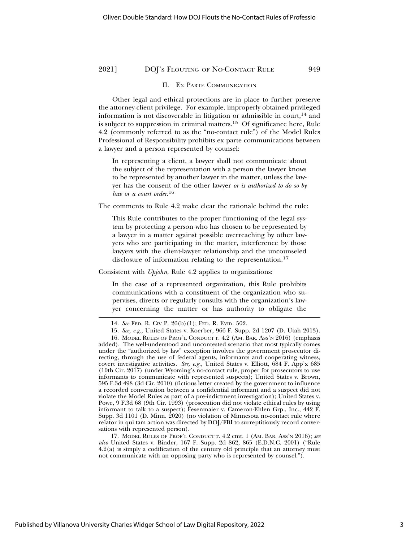#### II. EX PARTE COMMUNICATION

Other legal and ethical protections are in place to further preserve the attorney-client privilege. For example, improperly obtained privileged information is not discoverable in litigation or admissible in court, $14$  and is subject to suppression in criminal matters.15 Of significance here, Rule 4.2 (commonly referred to as the "no-contact rule") of the Model Rules Professional of Responsibility prohibits ex parte communications between a lawyer and a person represented by counsel:

In representing a client, a lawyer shall not communicate about the subject of the representation with a person the lawyer knows to be represented by another lawyer in the matter, unless the lawyer has the consent of the other lawyer *or is authorized to do so by law or a court order*. 16

The comments to Rule 4.2 make clear the rationale behind the rule:

This Rule contributes to the proper functioning of the legal system by protecting a person who has chosen to be represented by a lawyer in a matter against possible overreaching by other lawyers who are participating in the matter, interference by those lawyers with the client-lawyer relationship and the uncounseled disclosure of information relating to the representation.<sup>17</sup>

Consistent with *Upjohn,* Rule 4.2 applies to organizations:

In the case of a represented organization, this Rule prohibits communications with a constituent of the organization who supervises, directs or regularly consults with the organization's lawyer concerning the matter or has authority to obligate the

17. MODEL RULES OF PROF'L CONDUCT r. 4.2 cmt. 1 (AM. BAR. ASS'N 2016); *see also* United States v. Binder, 167 F. Supp. 2d 862, 865 (E.D.N.C. 2001) ("Rule 4.2(a) is simply a codification of the century old principle that an attorney must not communicate with an opposing party who is represented by counsel.").

<sup>14.</sup> *See* FED. R. CIV P. 26(b)(1); FED. R. EVID. 502.

<sup>15.</sup> *See, e.g.,* United States v. Koerber, 966 F. Supp. 2d 1207 (D. Utah 2013).

<sup>16.</sup> MODEL RULES OF PROF'L CONDUCT r. 4.2 (AM. BAR. ASS'N 2016) (emphasis added). The well-understood and uncontested scenario that most typically comes under the "authorized by law" exception involves the government prosecutor directing, through the use of federal agents, informants and cooperating witness, covert investigative activities. *See, e.g.*, United States v. Elliott*,* 684 F. App'x 685 (10th Cir. 2017) (under Wyoming's no-contact rule, proper for prosecutors to use informants to communicate with represented suspects); United States v. Brown, 595 F.3d 498 (3d Cir. 2010) (fictious letter created by the government to influence a recorded conversation between a confidential informant and a suspect did not violate the Model Rules as part of a pre-indictment investigation); United States v. Powe*,* 9 F.3d 68 (9th Cir. 1993) (prosecution did not violate ethical rules by using informant to talk to a suspect); Fesenmaier v. Cameron-Ehlen Grp., Inc., 442 F. Supp. 3d 1101 (D. Minn. 2020) (no violation of Minnesota no-contact rule where relator in qui tam action was directed by DOJ/FBI to surreptitiously record conversations with represented person).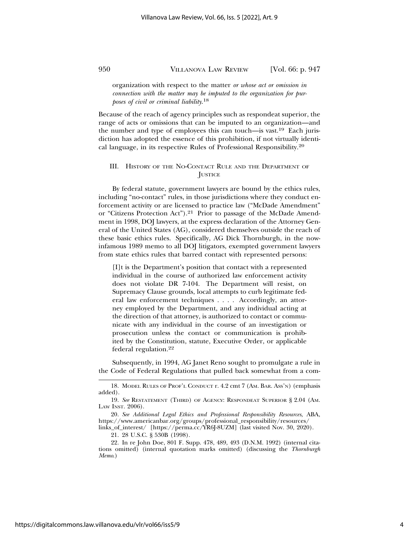organization with respect to the matter *or whose act or omission in connection with the matter may be imputed to the organization for purposes of civil or criminal liability*. 18

Because of the reach of agency principles such as respondeat superior, the range of acts or omissions that can be imputed to an organization—and the number and type of employees this can touch—is vast.19 Each jurisdiction has adopted the essence of this prohibition, if not virtually identical language, in its respective Rules of Professional Responsibility.20

## III. HISTORY OF THE NO-CONTACT RULE AND THE DEPARTMENT OF **JUSTICE**

By federal statute, government lawyers are bound by the ethics rules, including "no-contact" rules, in those jurisdictions where they conduct enforcement activity or are licensed to practice law ("McDade Amendment" or "Citizens Protection Act").21 Prior to passage of the McDade Amendment in 1998, DOJ lawyers, at the express declaration of the Attorney General of the United States (AG), considered themselves outside the reach of these basic ethics rules. Specifically, AG Dick Thornburgh, in the nowinfamous 1989 memo to all DOJ litigators, exempted government lawyers from state ethics rules that barred contact with represented persons:

[I]t is the Department's position that contact with a represented individual in the course of authorized law enforcement activity does not violate DR 7-104. The Department will resist, on Supremacy Clause grounds, local attempts to curb legitimate federal law enforcement techniques . . . . Accordingly, an attorney employed by the Department, and any individual acting at the direction of that attorney, is authorized to contact or communicate with any individual in the course of an investigation or prosecution unless the contact or communication is prohibited by the Constitution, statute, Executive Order, or applicable federal regulation.22

Subsequently, in 1994, AG Janet Reno sought to promulgate a rule in the Code of Federal Regulations that pulled back somewhat from a com-

21. 28 U.S.C. § 530B (1998).

22. In re John Doe, 801 F. Supp. 478, 489, 493 (D.N.M. 1992) (internal citations omitted) (internal quotation marks omitted) (discussing the *Thornburgh Memo*.)

<sup>18.</sup> MODEL RULES OF PROF'L CONDUCT r. 4.2 cmt 7 (AM. BAR. ASS'N) (emphasis added).

<sup>19.</sup> *See* RESTATEMENT (THIRD) OF AGENCY: RESPONDEAT SUPERIOR § 2.04 (AM. LAW INST. 2006).

<sup>20.</sup> *See Additional Legal Ethics and Professional Responsibility Resources*, ABA, https://www.americanbar.org/groups/professional\_responsibility/resources/ links\_of\_interest/ [https://perma.cc/YR6J-8UZM] (last visited Nov. 30, 2020).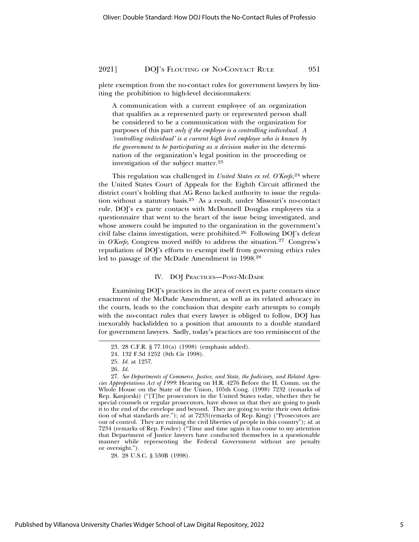plete exemption from the no-contact rules for government lawyers by limiting the prohibition to high-level decisionmakers:

A communication with a current employee of an organization that qualifies as a represented party or represented person shall be considered to be a communication with the organization for purposes of this part *only if the employee is a controlling individual. A 'controlling individual' is a current high level employee who is known by the government to be participating as a decision maker* in the determination of the organization's legal position in the proceeding or investigation of the subject matter.23

This regulation was challenged in *United States ex rel. O'Keefe*,<sup>24</sup> where the United States Court of Appeals for the Eighth Circuit affirmed the district court's holding that AG Reno lacked authority to issue the regulation without a statutory basis.25 As a result, under Missouri's no-contact rule, DOJ's ex parte contacts with McDonnell Douglas employees via a questionnaire that went to the heart of the issue being investigated, and whose answers could be imputed to the organization in the government's civil false claims investigation, were prohibited.26 Following DOJ's defeat in *O'Keefe*, Congress moved swiftly to address the situation.27 Congress's repudiation of DOJ's efforts to exempt itself from governing ethics rules led to passage of the McDade Amendment in 1998.28

#### IV. DOJ PRACTICES—POST-MCDADE

Examining DOJ's practices in the area of overt ex parte contacts since enactment of the McDade Amendment, as well as its related advocacy in the courts, leads to the conclusion that despite early attempts to comply with the no-contact rules that every lawyer is obliged to follow, DOJ has inexorably backslidden to a position that amounts to a double standard for government lawyers. Sadly, today's practices are too reminiscent of the

<sup>23. 28</sup> C.F.R. § 77.10(a) (1998) (emphasis added).

<sup>24. 132</sup> F.3d 1252 (8th Cir 1998).

<sup>25.</sup> *Id.* at 1257.

<sup>26.</sup> *Id.*

<sup>27.</sup> *See Departments of Commerce, Justice, and State, the Judiciary, and Related Agencies Appropriations Act of 1999*: Hearing on H.R. 4276 Before the H. Comm. on the Whole House on the State of the Union, 105th Cong. (1998) 7232 (remarks of Rep. Kanjorski) ("[T]he prosecutors in the United States today, whether they be special counsels or regular prosecutors, have shown us that they are going to push it to the end of the envelope and beyond. They are going to write their own definition of what standards are."); *id.* at 7233(remarks of Rep. King) ("Prosecutors are out of control. They are ruining the civil liberties of people in this country"); *id.* at 7234 (remarks of Rep. Fowler) ("Time and time again it has come to my attention that Department of Justice lawyers have conducted themselves in a questionable manner while representing the Federal Government without any penalty or oversight.").

<sup>28. 28</sup> U.S.C. § 530B (1998).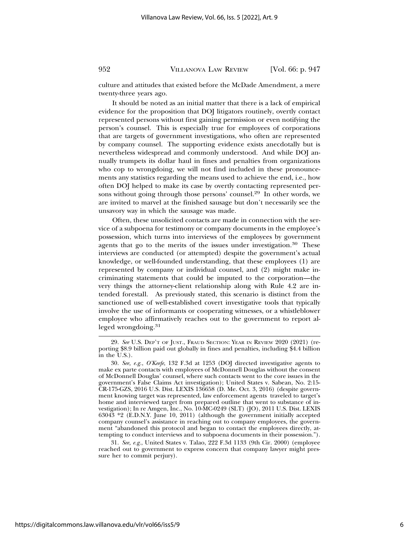culture and attitudes that existed before the McDade Amendment, a mere twenty-three years ago.

It should be noted as an initial matter that there is a lack of empirical evidence for the proposition that DOJ litigators routinely, overtly contact represented persons without first gaining permission or even notifying the person's counsel. This is especially true for employees of corporations that are targets of government investigations, who often are represented by company counsel. The supporting evidence exists anecdotally but is nevertheless widespread and commonly understood. And while DOJ annually trumpets its dollar haul in fines and penalties from organizations who cop to wrongdoing, we will not find included in these pronouncements any statistics regarding the means used to achieve the end, i.e., how often DOJ helped to make its case by overtly contacting represented persons without going through those persons' counsel.29 In other words, we are invited to marvel at the finished sausage but don't necessarily see the unsavory way in which the sausage was made.

Often, these unsolicited contacts are made in connection with the service of a subpoena for testimony or company documents in the employee's possession, which turns into interviews of the employees by government agents that go to the merits of the issues under investigation.<sup>30</sup> These interviews are conducted (or attempted) despite the government's actual knowledge, or well-founded understanding, that these employees (1) are represented by company or individual counsel, and (2) might make incriminating statements that could be imputed to the corporation—the very things the attorney-client relationship along with Rule 4.2 are intended forestall. As previously stated, this scenario is distinct from the sanctioned use of well-established covert investigative tools that typically involve the use of informants or cooperating witnesses, or a whistleblower employee who affirmatively reaches out to the government to report alleged wrongdoing.31

31. *See, e.g.*, United States v. Talao, 222 F.3d 1133 (9th Cir. 2000) (employee reached out to government to express concern that company lawyer might pressure her to commit perjury).

<sup>29.</sup> *See* U.S. DEP'T OF JUST., FRAUD SECTION: YEAR IN REVIEW 2020 (2021) (reporting \$8.9 billion paid out globally in fines and penalties, including \$4.4 billion in the U.S.).

<sup>30.</sup> *See, e.g.*, *O'Keefe*, 132 F.3d at 1253 (DOJ directed investigative agents to make ex parte contacts with employees of McDonnell Douglas without the consent of McDonnell Douglas' counsel, where such contacts went to the core issues in the government's False Claims Act investigation); United States v. Sabean, No. 2:15- CR-175-GZS, 2016 U.S. Dist. LEXIS 136658 (D. Me. Oct. 3, 2016) (despite government knowing target was represented, law enforcement agents traveled to target's home and interviewed target from prepared outline that went to substance of investigation); In re Amgen, Inc., No. 10-MC-0249 (SLT) (JO), 2011 U.S. Dist. LEXIS 63043 \*2 (E.D.N.Y. June 10, 2011) (although the government initially accepted company counsel's assistance in reaching out to company employees, the government "abandoned this protocol and began to contact the employees directly, attempting to conduct interviews and to subpoena documents in their possession.").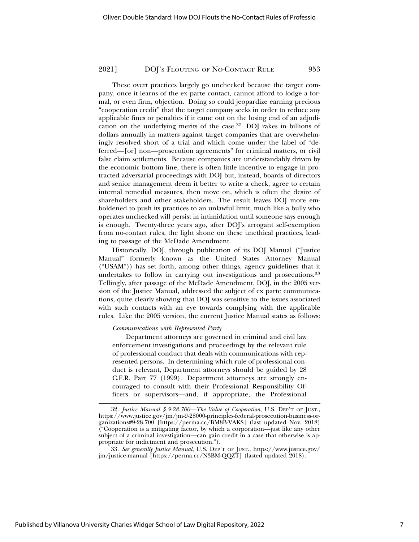These overt practices largely go unchecked because the target company, once it learns of the ex parte contact, cannot afford to lodge a formal, or even firm, objection. Doing so could jeopardize earning precious "cooperation credit" that the target company seeks in order to reduce any applicable fines or penalties if it came out on the losing end of an adjudication on the underlying merits of the case.32 DOJ rakes in billions of dollars annually in matters against target companies that are overwhelmingly resolved short of a trial and which come under the label of "deferred—[or] non—prosecution agreements" for criminal matters, or civil false claim settlements. Because companies are understandably driven by the economic bottom line, there is often little incentive to engage in protracted adversarial proceedings with DOJ but, instead, boards of directors and senior management deem it better to write a check, agree to certain internal remedial measures, then move on, which is often the desire of shareholders and other stakeholders. The result leaves DOJ more emboldened to push its practices to an unlawful limit, much like a bully who operates unchecked will persist in intimidation until someone says enough is enough. Twenty-three years ago, after DOJ's arrogant self-exemption from no-contact rules, the light shone on these unethical practices, leading to passage of the McDade Amendment.

Historically, DOJ, through publication of its DOJ Manual ("Justice Manual" formerly known as the United States Attorney Manual ("USAM")) has set forth, among other things, agency guidelines that it undertakes to follow in carrying out investigations and prosecutions.<sup>33</sup> Tellingly, after passage of the McDade Amendment, DOJ, in the 2005 version of the Justice Manual, addressed the subject of ex parte communications, quite clearly showing that DOJ was sensitive to the issues associated with such contacts with an eye towards complying with the applicable rules. Like the 2005 version, the current Justice Manual states as follows:

#### *Communications with Represented Party*

Department attorneys are governed in criminal and civil law enforcement investigations and proceedings by the relevant rule of professional conduct that deals with communications with represented persons. In determining which rule of professional conduct is relevant, Department attorneys should be guided by 28 C.F.R. Part 77 (1999). Department attorneys are strongly encouraged to consult with their Professional Responsibility Officers or supervisors—and, if appropriate, the Professional

<sup>32.</sup> *Justice Manual § 9-28.700—The Value of Cooperation*, U.S. DEP'T OF JUST., https://www.justice.gov/jm/jm-9-28000-principles-federal-prosecution-business-organizations#9-28.700 [https://perma.cc/BM8B-VAKS] (last updated Nov. 2018) ("Cooperation is a mitigating factor, by which a corporation—just like any other subject of a criminal investigation—can gain credit in a case that otherwise is appropriate for indictment and prosecution.").

<sup>33.</sup> *See generally Justice Manual*, U.S. DEP'T OF JUST., https://www.justice.gov/ jm/justice-manual [https://perma.cc/N3BM-QQZT] (lasted updated 2018).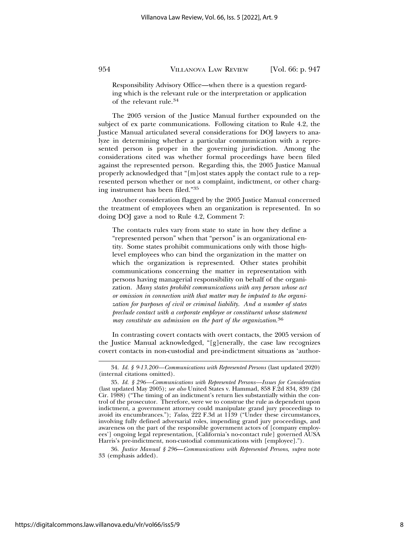Responsibility Advisory Office—when there is a question regarding which is the relevant rule or the interpretation or application of the relevant rule.34

The 2005 version of the Justice Manual further expounded on the subject of ex parte communications. Following citation to Rule 4.2, the Justice Manual articulated several considerations for DOJ lawyers to analyze in determining whether a particular communication with a represented person is proper in the governing jurisdiction. Among the considerations cited was whether formal proceedings have been filed against the represented person. Regarding this, the 2005 Justice Manual properly acknowledged that "[m]ost states apply the contact rule to a represented person whether or not a complaint, indictment, or other charging instrument has been filed."35

Another consideration flagged by the 2005 Justice Manual concerned the treatment of employees when an organization is represented. In so doing DOJ gave a nod to Rule 4.2, Comment 7:

The contacts rules vary from state to state in how they define a "represented person" when that "person" is an organizational entity. Some states prohibit communications only with those highlevel employees who can bind the organization in the matter on which the organization is represented. Other states prohibit communications concerning the matter in representation with persons having managerial responsibility on behalf of the organization. *Many states prohibit communications with any person whose act or omission in connection with that matter may be imputed to the organization for purposes of civil or criminal liability. And a number of states preclude contact with a corporate employee or constituent whose statement may constitute an admission on the part of the organization*. 36

In contrasting covert contacts with overt contacts, the 2005 version of the Justice Manual acknowledged, "[g]enerally, the case law recognizes covert contacts in non-custodial and pre-indictment situations as 'author-

36. *Justice Manual § 296*—*Communications with Represented Persons*, *supra* note 33 (emphasis added).

<sup>34.</sup> *Id. § 9-13.200—Communications with Represented Persons* (last updated 2020) (internal citations omitted).

<sup>35.</sup> *Id. § 296—Communications with Represented Persons—Issues for Consideration* (last updated May 2005); *see also* United States v. Hammad, 858 F.2d 834, 839 (2d Cir. 1988) ("The timing of an indictment's return lies substantially within the control of the prosecutor. Therefore, were we to construe the rule as dependent upon indictment, a government attorney could manipulate grand jury proceedings to avoid its encumbrances."); *Talao*, 222 F.3d at 1139 ("Under these circumstances, involving fully defined adversarial roles, impending grand jury proceedings, and awareness on the part of the responsible government actors of [company employees'] ongoing legal representation, [California's no-contact rule] governed AUSA Harris's pre-indictment, non-custodial communications with [employee].").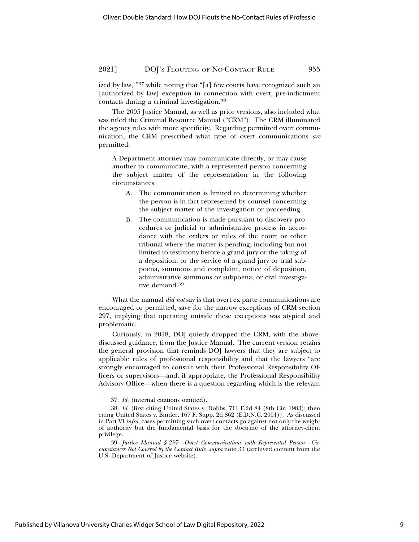## 2021] DOJ's Flouting of No-Contact Rule 955

ized by law,'"37 while noting that "[a] few courts have recognized such an [authorized by law] exception in connection with overt, pre-indictment contacts during a criminal investigation.38

The 2005 Justice Manual, as well as prior versions, also included what was titled the Criminal Resource Manual ("CRM"). The CRM illuminated the agency rules with more specificity. Regarding permitted overt communication, the CRM prescribed what type of overt communications *are* permitted:

A Department attorney may communicate directly, or may cause another to communicate, with a represented person concerning the subject matter of the representation in the following circumstances.

- A. The communication is limited to determining whether the person is in fact represented by counsel concerning the subject matter of the investigation or proceeding.
- B. The communication is made pursuant to discovery procedures or judicial or administrative process in accordance with the orders or rules of the court or other tribunal where the matter is pending, including but not limited to testimony before a grand jury or the taking of a deposition, or the service of a grand jury or trial subpoena, summons and complaint, notice of deposition, administrative summons or subpoena, or civil investigative demand.39

What the manual *did not* say is that overt ex parte communications are encouraged or permitted, save for the narrow exceptions of CRM section 297, implying that operating outside these exceptions was atypical and problematic.

Curiously, in 2018, DOJ quietly dropped the CRM, with the abovediscussed guidance, from the Justice Manual. The current version retains the general provision that reminds DOJ lawyers that they are subject to applicable rules of professional responsibility and that the lawyers "are strongly encouraged to consult with their Professional Responsibility Officers or supervisors—and, if appropriate, the Professional Responsibility Advisory Office—when there is a question regarding which is the relevant

<sup>37.</sup> *Id.* (internal citations omitted).

<sup>38.</sup> *Id.* (first citing United States v. Dobbs, 711 F.2d 84 (8th Cir. 1983); then citing United States v. Binder, 167 F. Supp. 2d 862 (E.D.N.C. 2001)). As discussed in Part VI *infra*, cases permitting such overt contacts go against not only the weight of authority but the fundamental basis for the doctrine of the attorney-client privilege.

<sup>39.</sup> *Justice Manual § 297—Overt Communications with Represented Person—Circumstances Not Covered by the Contact Rule*, *supra* note 33 (archived content from the U.S. Department of Justice website).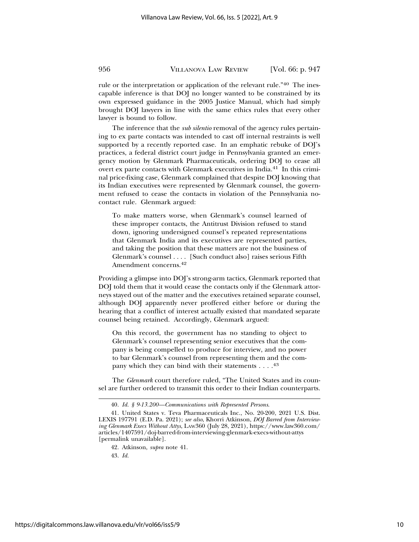rule or the interpretation or application of the relevant rule."40 The inescapable inference is that DOJ no longer wanted to be constrained by its own expressed guidance in the 2005 Justice Manual, which had simply brought DOJ lawyers in line with the same ethics rules that every other lawyer is bound to follow.

The inference that the *sub silentio* removal of the agency rules pertaining to ex parte contacts was intended to cast off internal restraints is well supported by a recently reported case. In an emphatic rebuke of DOJ's practices, a federal district court judge in Pennsylvania granted an emergency motion by Glenmark Pharmaceuticals, ordering DOJ to cease all overt ex parte contacts with Glenmark executives in India.41 In this criminal price-fixing case, Glenmark complained that despite DOJ knowing that its Indian executives were represented by Glenmark counsel, the government refused to cease the contacts in violation of the Pennsylvania nocontact rule. Glenmark argued:

To make matters worse, when Glenmark's counsel learned of these improper contacts, the Antitrust Division refused to stand down, ignoring undersigned counsel's repeated representations that Glenmark India and its executives are represented parties, and taking the position that these matters are not the business of Glenmark's counsel . . . . [Such conduct also] raises serious Fifth Amendment concerns.42

Providing a glimpse into DOJ's strong-arm tactics, Glenmark reported that DOJ told them that it would cease the contacts only if the Glenmark attorneys stayed out of the matter and the executives retained separate counsel, although DOJ apparently never proffered either before or during the hearing that a conflict of interest actually existed that mandated separate counsel being retained. Accordingly, Glenmark argued:

On this record, the government has no standing to object to Glenmark's counsel representing senior executives that the company is being compelled to produce for interview, and no power to bar Glenmark's counsel from representing them and the company which they can bind with their statements  $\dots$ .<sup>43</sup>

The *Glenmark* court therefore ruled, "The United States and its counsel are further ordered to transmit this order to their Indian counterparts.

43. *Id.*

<sup>40.</sup> *Id. § 9-13.200—Communications with Represented Persons*.

<sup>41.</sup> United States v. Teva Pharmaceuticals Inc., No. 20-200, 2021 U.S. Dist. LEXIS 197791 (E.D. Pa. 2021); *see also*, Khorri Atkinson, *DOJ Barred from Interviewing Glenmark Execs Without Attys*, LAW360 (July 28, 2021), https://www.law360.com/ articles/1407591/doj-barred-from-interviewing-glenmark-execs-without-attys [permalink unavailable].

<sup>42.</sup> Atkinson, *supra* note 41.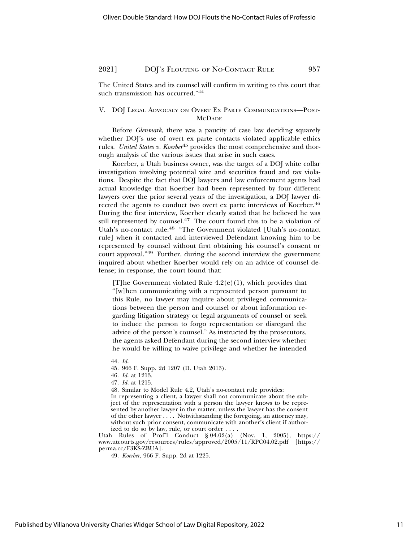The United States and its counsel will confirm in writing to this court that such transmission has occurred."44

## V. DOJ LEGAL ADVOCACY ON OVERT EX PARTE COMMUNICATIONS—POST-**MCDADE**

Before *Glenmark*, there was a paucity of case law deciding squarely whether DOJ's use of overt ex parte contacts violated applicable ethics rules. *United States v. Koerber*45 provides the most comprehensive and thorough analysis of the various issues that arise in such cases.

Koerber, a Utah business owner, was the target of a DOJ white collar investigation involving potential wire and securities fraud and tax violations. Despite the fact that DOJ lawyers and law enforcement agents had actual knowledge that Koerber had been represented by four different lawyers over the prior several years of the investigation, a DOJ lawyer directed the agents to conduct two overt ex parte interviews of Koerber.46 During the first interview, Koerber clearly stated that he believed he was still represented by counsel.<sup>47</sup> The court found this to be a violation of Utah's no-contact rule:48 "The Government violated [Utah's no-contact rule] when it contacted and interviewed Defendant knowing him to be represented by counsel without first obtaining his counsel's consent or court approval."49 Further, during the second interview the government inquired about whether Koerber would rely on an advice of counsel defense; in response, the court found that:

[T] he Government violated Rule  $4.2(e)(1)$ , which provides that "[w]hen communicating with a represented person pursuant to this Rule, no lawyer may inquire about privileged communications between the person and counsel or about information regarding litigation strategy or legal arguments of counsel or seek to induce the person to forgo representation or disregard the advice of the person's counsel." As instructed by the prosecutors, the agents asked Defendant during the second interview whether he would be willing to waive privilege and whether he intended

Utah Rules of Prof'l Conduct § 04.02(a) (Nov. 1, 2005), https:// www.utcourts.gov/resources/rules/approved/2005/11/RPC04.02.pdf [https:// perma.cc/F3KS-ZBUA].

<sup>44.</sup> *Id.*

<sup>45. 966</sup> F. Supp. 2d 1207 (D. Utah 2013).

<sup>46.</sup> *Id.* at 1213.

<sup>47.</sup> *Id.* at 1215.

<sup>48.</sup> Similar to Model Rule 4.2, Utah's no-contact rule provides: In representing a client, a lawyer shall not communicate about the subject of the representation with a person the lawyer knows to be represented by another lawyer in the matter, unless the lawyer has the consent of the other lawyer . . . . Notwithstanding the foregoing, an attorney may, without such prior consent, communicate with another's client if authorized to do so by law, rule, or court order . . . .

<sup>49.</sup> *Koerber*, 966 F. Supp. 2d at 1225.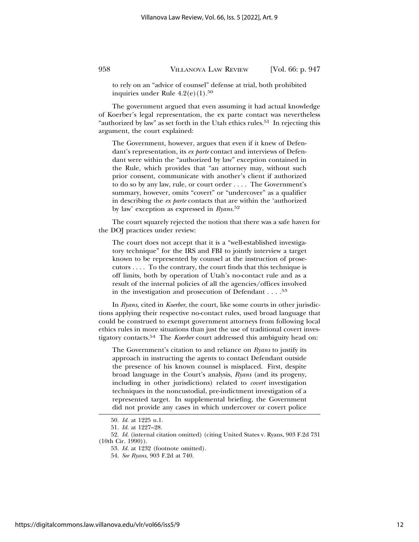to rely on an "advice of counsel" defense at trial, both prohibited inquiries under Rule  $4.2(e)(1).50$ 

The government argued that even assuming it had actual knowledge of Koerber's legal representation, the ex parte contact was nevertheless "authorized by law" as set forth in the Utah ethics rules.<sup>51</sup> In rejecting this argument, the court explained:

The Government, however, argues that even if it knew of Defendant's representation, its *ex parte* contact and interviews of Defendant were within the "authorized by law" exception contained in the Rule, which provides that "an attorney may, without such prior consent, communicate with another's client if authorized to do so by any law, rule, or court order . . . . The Government's summary, however, omits "covert" or "undercover" as a qualifier in describing the *ex parte* contacts that are within the 'authorized by law' exception as expressed in *Ryans.*<sup>52</sup>

The court squarely rejected the notion that there was a safe haven for the DOJ practices under review:

The court does not accept that it is a "well-established investigatory technique" for the IRS and FBI to jointly interview a target known to be represented by counsel at the instruction of prosecutors . . . . To the contrary, the court finds that this technique is off limits, both by operation of Utah's no-contact rule and as a result of the internal policies of all the agencies/offices involved in the investigation and prosecution of Defendant . . . .53

In *Ryans*, cited in *Koerber*, the court, like some courts in other jurisdictions applying their respective no-contact rules, used broad language that could be construed to exempt government attorneys from following local ethics rules in more situations than just the use of traditional covert investigatory contacts.54 The *Koerber* court addressed this ambiguity head on:

The Government's citation to and reliance on *Ryans* to justify its approach in instructing the agents to contact Defendant outside the presence of his known counsel is misplaced. First, despite broad language in the Court's analysis, *Ryans* (and its progeny, including in other jurisdictions) related to *covert* investigation techniques in the noncustodial, pre-indictment investigation of a represented target. In supplemental briefing, the Government did not provide any cases in which undercover or covert police

https://digitalcommons.law.villanova.edu/vlr/vol66/iss5/9

<sup>50.</sup> *Id.* at 1225 n.1.

<sup>51.</sup> *Id.* at 1227–28.

<sup>52.</sup> *Id.* (internal citation omitted) (citing United States v. Ryans, 903 F.2d 731 (10th Cir. 1990)).

<sup>53.</sup> *Id.* at 1232 (footnote omitted).

<sup>54.</sup> *See Ryans*, 903 F.2d at 740.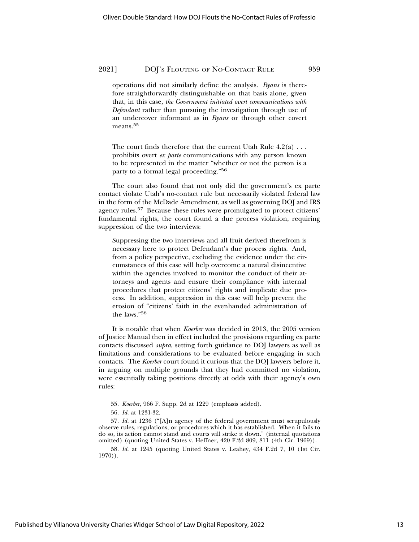operations did not similarly define the analysis. *Ryans* is therefore straightforwardly distinguishable on that basis alone, given that, in this case, *the Government initiated overt communications with Defendant* rather than pursuing the investigation through use of an undercover informant as in *Ryans* or through other covert means.<sup>55</sup>

The court finds therefore that the current Utah Rule  $4.2(a) \ldots$ prohibits overt *ex parte* communications with any person known to be represented in the matter "whether or not the person is a party to a formal legal proceeding."56

The court also found that not only did the government's ex parte contact violate Utah's no-contact rule but necessarily violated federal law in the form of the McDade Amendment, as well as governing DOJ and IRS agency rules.57 Because these rules were promulgated to protect citizens' fundamental rights, the court found a due process violation, requiring suppression of the two interviews:

Suppressing the two interviews and all fruit derived therefrom is necessary here to protect Defendant's due process rights. And, from a policy perspective, excluding the evidence under the circumstances of this case will help overcome a natural disincentive within the agencies involved to monitor the conduct of their attorneys and agents and ensure their compliance with internal procedures that protect citizens' rights and implicate due process. In addition, suppression in this case will help prevent the erosion of "citizens' faith in the evenhanded administration of the laws."58

It is notable that when *Koerber* was decided in 2013, the 2005 version of Justice Manual then in effect included the provisions regarding ex parte contacts discussed *supra*, setting forth guidance to DOJ lawyers as well as limitations and considerations to be evaluated before engaging in such contacts. The *Koerber* court found it curious that the DOJ lawyers before it, in arguing on multiple grounds that they had committed no violation, were essentially taking positions directly at odds with their agency's own rules:

Published by Villanova University Charles Widger School of Law Digital Repository, 2022

<sup>55.</sup> *Koerber*, 966 F. Supp. 2d at 1229 (emphasis added).

<sup>56.</sup> *Id.* at 1231-32.

<sup>57.</sup> *Id.* at 1236 ("[A]n agency of the federal government must scrupulously observe rules, regulations, or procedures which it has established. When it fails to do so, its action cannot stand and courts will strike it down." (internal quotations omitted) (quoting United States v. Heffner, 420 F.2d 809, 811 (4th Cir. 1969)).

<sup>58.</sup> *Id.* at 1245 (quoting United States v. Leahey, 434 F.2d 7, 10 (1st Cir. 1970)).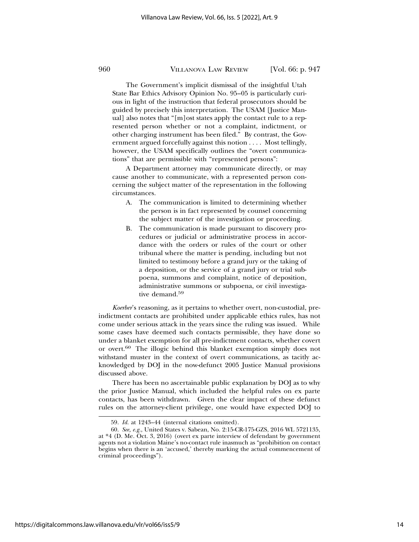The Government's implicit dismissal of the insightful Utah State Bar Ethics Advisory Opinion No. 95–05 is particularly curious in light of the instruction that federal prosecutors should be guided by precisely this interpretation. The USAM [Justice Manual] also notes that "[m]ost states apply the contact rule to a represented person whether or not a complaint, indictment, or other charging instrument has been filed." By contrast, the Government argued forcefully against this notion . . . . Most tellingly, however, the USAM specifically outlines the "overt communications" that are permissible with "represented persons":

A Department attorney may communicate directly, or may cause another to communicate, with a represented person concerning the subject matter of the representation in the following circumstances.

- A. The communication is limited to determining whether the person is in fact represented by counsel concerning the subject matter of the investigation or proceeding.
- B. The communication is made pursuant to discovery procedures or judicial or administrative process in accordance with the orders or rules of the court or other tribunal where the matter is pending, including but not limited to testimony before a grand jury or the taking of a deposition, or the service of a grand jury or trial subpoena, summons and complaint, notice of deposition, administrative summons or subpoena, or civil investigative demand.<sup>59</sup>

*Koerber*'s reasoning, as it pertains to whether overt, non-custodial, preindictment contacts are prohibited under applicable ethics rules, has not come under serious attack in the years since the ruling was issued. While some cases have deemed such contacts permissible, they have done so under a blanket exemption for all pre-indictment contacts, whether covert or overt.60 The illogic behind this blanket exemption simply does not withstand muster in the context of overt communications, as tacitly acknowledged by DOJ in the now-defunct 2005 Justice Manual provisions discussed above.

There has been no ascertainable public explanation by DOJ as to why the prior Justice Manual, which included the helpful rules on ex parte contacts, has been withdrawn. Given the clear impact of these defunct rules on the attorney-client privilege, one would have expected DOJ to

<sup>59.</sup> *Id.* at 1243–44 (internal citations omitted).

<sup>60.</sup> *See, e.g.*, United States v. Sabean, No. 2:15-CR-175-GZS, 2016 WL 5721135, at \*4 (D. Me. Oct. 3, 2016) (overt ex parte interview of defendant by government agents not a violation Maine's no-contact rule inasmuch as "prohibition on contact begins when there is an 'accused,' thereby marking the actual commencement of criminal proceedings").